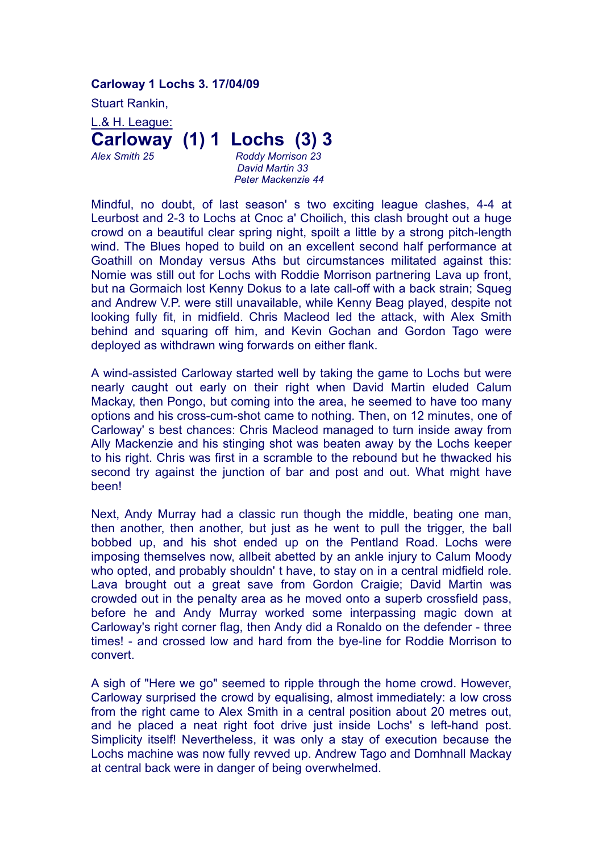## **Carloway 1 Lochs 3. 17/04/09**

Stuart Rankin,

L.& H. League: **Carloway (1) 1 Lochs (3) 3** *Alex Smith 25 Roddy Morrison 23*

*David Martin 33 Peter Mackenzie 44*

Mindful, no doubt, of last season' s two exciting league clashes, 4-4 at Leurbost and 2-3 to Lochs at Cnoc a' Choilich, this clash brought out a huge crowd on a beautiful clear spring night, spoilt a little by a strong pitch-length wind. The Blues hoped to build on an excellent second half performance at Goathill on Monday versus Aths but circumstances militated against this: Nomie was still out for Lochs with Roddie Morrison partnering Lava up front, but na Gormaich lost Kenny Dokus to a late call-off with a back strain; Squeg and Andrew V.P. were still unavailable, while Kenny Beag played, despite not looking fully fit, in midfield. Chris Macleod led the attack, with Alex Smith behind and squaring off him, and Kevin Gochan and Gordon Tago were deployed as withdrawn wing forwards on either flank.

A wind-assisted Carloway started well by taking the game to Lochs but were nearly caught out early on their right when David Martin eluded Calum Mackay, then Pongo, but coming into the area, he seemed to have too many options and his cross-cum-shot came to nothing. Then, on 12 minutes, one of Carloway' s best chances: Chris Macleod managed to turn inside away from Ally Mackenzie and his stinging shot was beaten away by the Lochs keeper to his right. Chris was first in a scramble to the rebound but he thwacked his second try against the junction of bar and post and out. What might have been!

Next, Andy Murray had a classic run though the middle, beating one man, then another, then another, but just as he went to pull the trigger, the ball bobbed up, and his shot ended up on the Pentland Road. Lochs were imposing themselves now, allbeit abetted by an ankle injury to Calum Moody who opted, and probably shouldn' t have, to stay on in a central midfield role. Lava brought out a great save from Gordon Craigie; David Martin was crowded out in the penalty area as he moved onto a superb crossfield pass, before he and Andy Murray worked some interpassing magic down at Carloway's right corner flag, then Andy did a Ronaldo on the defender - three times! - and crossed low and hard from the bye-line for Roddie Morrison to convert.

A sigh of "Here we go" seemed to ripple through the home crowd. However, Carloway surprised the crowd by equalising, almost immediately: a low cross from the right came to Alex Smith in a central position about 20 metres out, and he placed a neat right foot drive just inside Lochs' s left-hand post. Simplicity itself! Nevertheless, it was only a stay of execution because the Lochs machine was now fully revved up. Andrew Tago and Domhnall Mackay at central back were in danger of being overwhelmed.